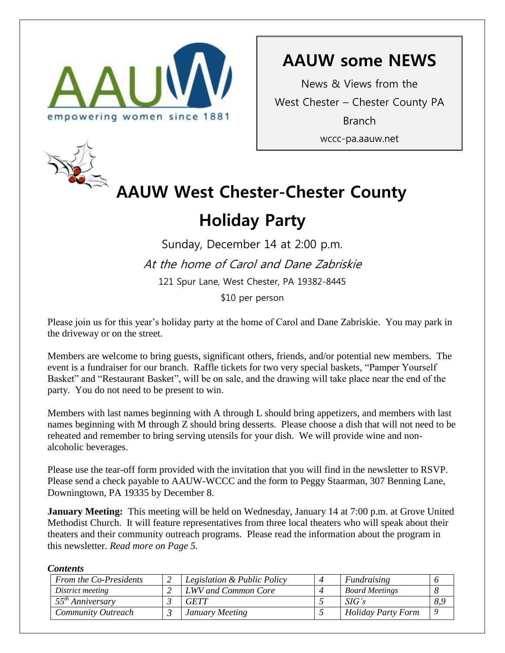

## **AAUW some NEWS**

News & Views from the West Chester – Chester County PA Branch wccc-pa.aauw.net



# **AAUW West Chester-Chester County**

## **Holiday Party**

Sunday, December 14 at 2:00 p.m. At the home of Carol and Dane Zabriskie 121 Spur Lane, West Chester, PA 19382-8445 \$10 per person

Please join us for this year's holiday party at the home of Carol and Dane Zabriskie. You may park in the driveway or on the street.

Members are welcome to bring guests, significant others, friends, and/or potential new members. The event is a fundraiser for our branch. Raffle tickets for two very special baskets, "Pamper Yourself Basket" and "Restaurant Basket", will be on sale, and the drawing will take place near the end of the party. You do not need to be present to win.

Members with last names beginning with A through L should bring appetizers, and members with last names beginning with M through Z should bring desserts. Please choose a dish that will not need to be reheated and remember to bring serving utensils for your dish. We will provide wine and nonalcoholic beverages.

Please use the tear-off form provided with the invitation that you will find in the newsletter to RSVP. Please send a check payable to AAUW-WCCC and the form to Peggy Staarman, 307 Benning Lane, Downingtown, PA 19335 by December 8.

**January Meeting:** This meeting will be held on Wednesday, January 14 at 7:00 p.m. at Grove United Methodist Church. It will feature representatives from three local theaters who will speak about their theaters and their community outreach programs. Please read the information about the program in this newsletter. *Read more on Page 5.*

#### *Contents*

| <b>From the Co-Presidents</b> | Legislation & Public Policy | Fundraising               |          |
|-------------------------------|-----------------------------|---------------------------|----------|
| District meeting              | LWV and Common Core         | <b>Board Meetings</b>     |          |
| $55^{th}$ Anniversary         | <b>GETT</b>                 | SIG's                     | 8,9      |
| <b>Community Outreach</b>     | January Meeting             | <b>Holiday Party Form</b> | $\Omega$ |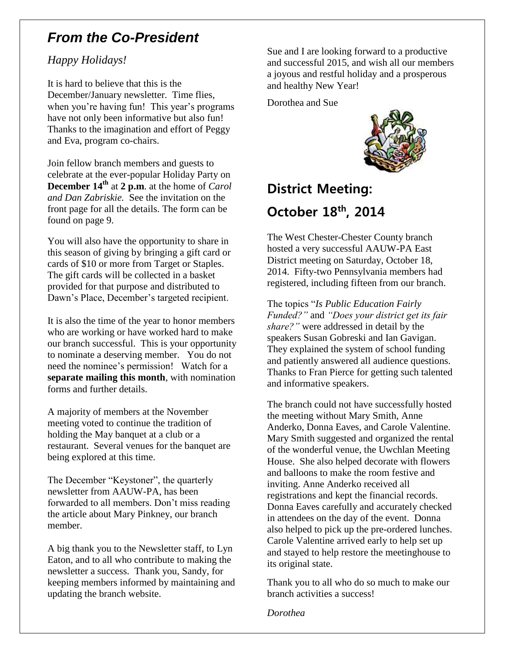## *From the Co-President*

#### *Happy Holidays!*

It is hard to believe that this is the December/January newsletter. Time flies, when you're having fun! This year's programs have not only been informative but also fun! Thanks to the imagination and effort of Peggy and Eva, program co-chairs.

Join fellow branch members and guests to celebrate at the ever-popular Holiday Party on **December 14th** at **2 p.m**. at the home of *Carol and Dan Zabriskie.* See the invitation on the front page for all the details. The form can be found on page 9.

You will also have the opportunity to share in this season of giving by bringing a gift card or cards of \$10 or more from Target or Staples. The gift cards will be collected in a basket provided for that purpose and distributed to Dawn's Place, December's targeted recipient.

It is also the time of the year to honor members who are working or have worked hard to make our branch successful. This is your opportunity to nominate a deserving member. You do not need the nominee's permission! Watch for a **separate mailing this month**, with nomination forms and further details.

A majority of members at the November meeting voted to continue the tradition of holding the May banquet at a club or a restaurant. Several venues for the banquet are being explored at this time.

The December "Keystoner", the quarterly newsletter from AAUW-PA, has been forwarded to all members. Don't miss reading the article about Mary Pinkney, our branch member.

A big thank you to the Newsletter staff, to Lyn Eaton, and to all who contribute to making the newsletter a success. Thank you, Sandy, for keeping members informed by maintaining and updating the branch website.

Sue and I are looking forward to a productive and successful 2015, and wish all our members a joyous and restful holiday and a prosperous and healthy New Year!

Dorothea and Sue



## **District Meeting: October 18th, 2014**

The West Chester-Chester County branch hosted a very successful AAUW-PA East District meeting on Saturday, October 18, 2014. Fifty-two Pennsylvania members had registered, including fifteen from our branch.

The topics "*Is Public Education Fairly Funded?"* and *"Does your district get its fair share?"* were addressed in detail by the speakers Susan Gobreski and Ian Gavigan. They explained the system of school funding and patiently answered all audience questions. Thanks to Fran Pierce for getting such talented and informative speakers.

The branch could not have successfully hosted the meeting without Mary Smith, Anne Anderko, Donna Eaves, and Carole Valentine. Mary Smith suggested and organized the rental of the wonderful venue, the Uwchlan Meeting House. She also helped decorate with flowers and balloons to make the room festive and inviting. Anne Anderko received all registrations and kept the financial records. Donna Eaves carefully and accurately checked in attendees on the day of the event. Donna also helped to pick up the pre-ordered lunches. Carole Valentine arrived early to help set up and stayed to help restore the meetinghouse to its original state.

Thank you to all who do so much to make our branch activities a success!

*Dorothea*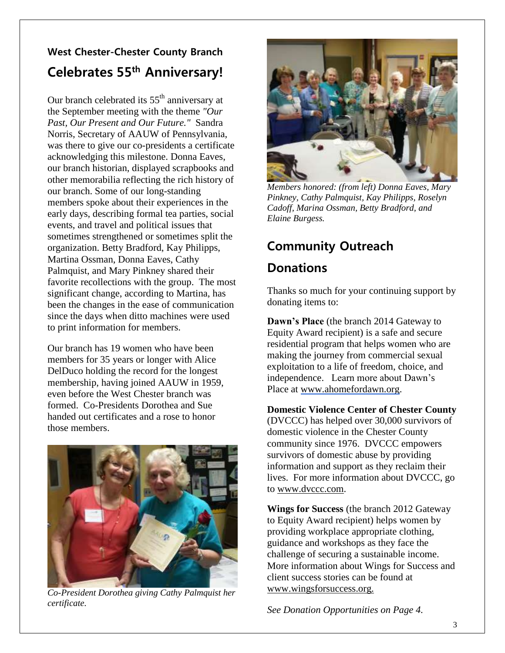## **West Chester-Chester County Branch Celebrates 55th Anniversary!**

Our branch celebrated its  $55<sup>th</sup>$  anniversary at the September meeting with the theme *"Our Past, Our Present and Our Future."* Sandra Norris, Secretary of AAUW of Pennsylvania, was there to give our co-presidents a certificate acknowledging this milestone. Donna Eaves, our branch historian, displayed scrapbooks and other memorabilia reflecting the rich history of our branch. Some of our long-standing members spoke about their experiences in the early days, describing formal tea parties, social events, and travel and political issues that sometimes strengthened or sometimes split the organization. Betty Bradford, Kay Philipps, Martina Ossman, Donna Eaves, Cathy Palmquist, and Mary Pinkney shared their favorite recollections with the group. The most significant change, according to Martina, has been the changes in the ease of communication since the days when ditto machines were used to print information for members.

Our branch has 19 women who have been members for 35 years or longer with Alice DelDuco holding the record for the longest membership, having joined AAUW in 1959, even before the West Chester branch was formed. Co-Presidents Dorothea and Sue handed out certificates and a rose to honor those members.



*Co-President Dorothea giving Cathy Palmquist her certificate.*



*Members honored: (from left) Donna Eaves, Mary Pinkney, Cathy Palmquist, Kay Philipps, Roselyn Cadoff, Marina Ossman, Betty Bradford, and Elaine Burgess.*

## **Community Outreach**

## **Donations**

Thanks so much for your continuing support by donating items to:

**Dawn's Place** (the branch 2014 Gateway to Equity Award recipient) is a safe and secure residential program that helps women who are making the journey from commercial sexual exploitation to a life of freedom, choice, and independence. Learn more about Dawn's Place at [www.ahomefordawn.org.](http://www.ahomefordawn.org/)

**Domestic Violence Center of Chester County** (DVCCC) has helped over 30,000 survivors of domestic violence in the Chester County community since 1976. DVCCC empowers survivors of domestic abuse by providing information and support as they reclaim their lives. For more information about DVCCC, go to [www.dvccc.com.](http://www.dvccc.com/)

**Wings for Success** (the branch 2012 Gateway to Equity Award recipient) helps women by providing workplace appropriate clothing, guidance and workshops as they face the challenge of securing a sustainable income. More information about Wings for Success and client success stories can be found at www.wingsforsuccess.org.

*See Donation Opportunities on Page 4.*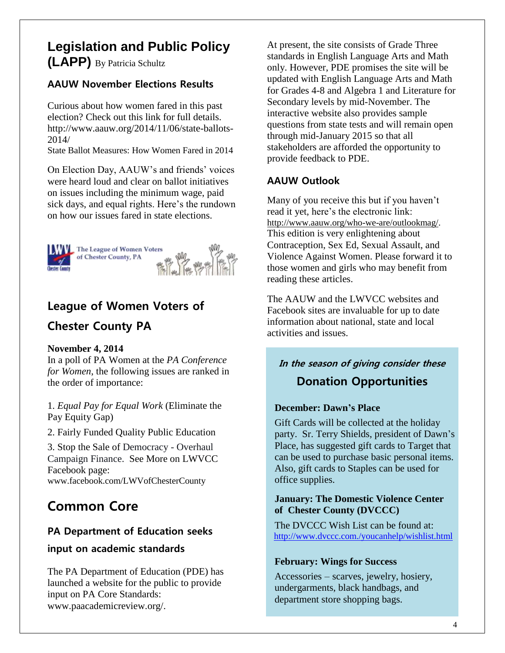## **Legislation and Public Policy (LAPP)** By Patricia Schultz

#### **AAUW November Elections Results**

Curious about how women fared in this past election? Check out this link for full details. [http://www.aauw.org/2014/11/06/state-ballots-](http://www.aauw.org/2014/11/06/state-ballots-2014/)[2014/](http://www.aauw.org/2014/11/06/state-ballots-2014/)

State Ballot Measures: How Women Fared in 2014

On Election Day, AAUW's and friends' voices were heard loud and clear on ballot initiatives on issues including the minimum wage, paid sick days, and equal rights. Here's the rundown on how our issues fared in state elections.



## **[League of Women Voters of](https://www.facebook.com/LWVofChesterCounty)**

### **[Chester County PA](https://www.facebook.com/LWVofChesterCounty)**

#### **November 4, 2014**

In a poll of PA Women at the *PA Conference for Women*, the following issues are ranked in the order of importance:

1. *Equal Pay for Equal Work* (Eliminate the Pay Equity Gap)

2. Fairly Funded Quality Public Education

3. Stop the Sale of Democracy - Overhaul Campaign Finance. [See More](https://www.facebook.com/LWVofChesterCounty) on LWVCC Facebook page: [www.facebook.com/LWVofChesterCounty](http://www.facebook.com/LWVofChesterCounty)

## **Common Core**

#### **PA Department of Education seeks**

#### **input on academic standards**

The PA Department of Education (PDE) has launched a website for the public to provide input on PA Core Standards: [www.paacademicreview.org/.](http://www.paacademicreview.org/)

At present, the site consists of Grade Three standards in English Language Arts and Math only. However, PDE promises the site will be updated with English Language Arts and Math for Grades 4-8 and Algebra 1 and Literature for Secondary levels by mid-November. The interactive website also provides sample questions from state tests and will remain open through mid-January 2015 so that all stakeholders are afforded the opportunity to provide feedback to PDE.

### **AAUW Outlook**

Many of you receive this but if you haven't read it yet, here's the electronic link: [http://www.aauw.org/who-we-are/outlookmag/.](http://www.aauw.org/who-we-are/outlookmag/) This edition is very enlightening about Contraception, Sex Ed, Sexual Assault, and Violence Against Women. Please forward it to those women and girls who may benefit from reading these articles.

The AAUW and the LWVCC websites and Facebook sites are invaluable for up to date information about national, state and local activities and issues.

## **In the season of giving consider these Donation Opportunities**

#### **December: Dawn's Place**

 Gift Cards will be collected at the holiday party. Sr. Terry Shields, president of Dawn's Place, has suggested gift cards to Target that can be used to purchase basic personal items. Also, gift cards to Staples can be used for office supplies.

#### **January: The Domestic Violence Center of Chester County (DVCCC)**

 The DVCCC Wish List can be found at: <http://www.dvccc.com./youcanhelp/wishlist.html>

#### **February: Wings for Success**

 Accessories – scarves, jewelry, hosiery, undergarments, black handbags, and department store shopping bags.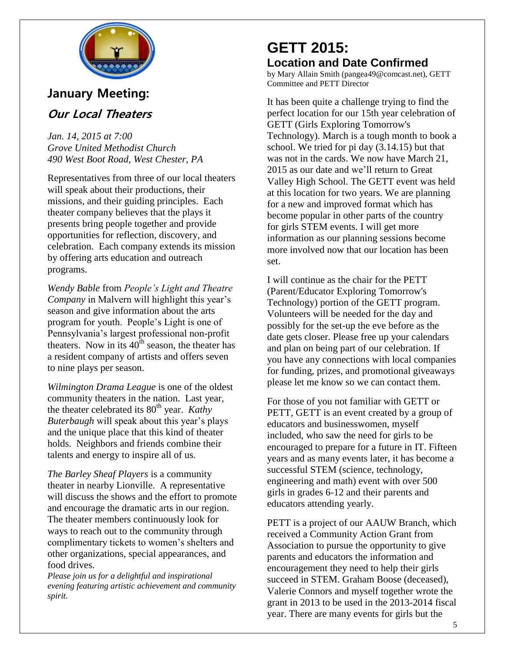

## **January Meeting:**

### **Our Local Theaters**

*Jan. 14, 2015 at 7:00 Grove United Methodist Church 490 West Boot Road, West Chester, PA*

Representatives from three of our local theaters will speak about their productions, their missions, and their guiding principles. Each theater company believes that the plays it presents bring people together and provide opportunities for reflection, discovery, and celebration. Each company extends its mission by offering arts education and outreach programs.

*Wendy Bable* from *People's Light and Theatre Company* in Malvern will highlight this year's season and give information about the arts program for youth. People's Light is one of Pennsylvania's largest professional non-profit theaters. Now in its  $40^{\text{th}}$  season, the theater has a resident company of artists and offers seven to nine plays per season.

*Wilmington Drama League* is one of the oldest community theaters in the nation. Last year, the theater celebrated its 80<sup>th</sup> year. *Kathy Buterbaugh* will speak about this year's plays and the unique place that this kind of theater holds. Neighbors and friends combine their talents and energy to inspire all of us.

*The Barley Sheaf Players* is a community theater in nearby Lionville. A representative will discuss the shows and the effort to promote and encourage the dramatic arts in our region. The theater members continuously look for ways to reach out to the community through complimentary tickets to women's shelters and other organizations, special appearances, and food drives.

*Please join us for a delightful and inspirational evening featuring artistic achievement and community spirit.*

## **GETT 2015: Location and Date Confirmed**

by Mary Allain Smith (pangea49@comcast.net), GETT Committee and PETT Director

It has been quite a challenge trying to find the perfect location for our 15th year celebration of GETT (Girls Exploring Tomorrow's Technology). March is a tough month to book a school. We tried for pi day (3.14.15) but that was not in the cards. We now have March 21, 2015 as our date and we'll return to Great Valley High School. The GETT event was held at this location for two years. We are planning for a new and improved format which has become popular in other parts of the country for girls STEM events. I will get more information as our planning sessions become more involved now that our location has been set.

I will continue as the chair for the PETT (Parent/Educator Exploring Tomorrow's Technology) portion of the GETT program. Volunteers will be needed for the day and possibly for the set-up the eve before as the date gets closer. Please free up your calendars and plan on being part of our celebration. If you have any connections with local companies for funding, prizes, and promotional giveaways please let me know so we can contact them.

For those of you not familiar with GETT or PETT, GETT is an event created by a group of educators and businesswomen, myself included, who saw the need for girls to be encouraged to prepare for a future in IT. Fifteen years and as many events later, it has become a successful STEM (science, technology, engineering and math) event with over 500 girls in grades 6-12 and their parents and educators attending yearly.

PETT is a project of our AAUW Branch, which received a Community Action Grant from Association to pursue the opportunity to give parents and educators the information and encouragement they need to help their girls succeed in STEM. Graham Boose (deceased), Valerie Connors and myself together wrote the grant in 2013 to be used in the 2013-2014 fiscal year. There are many events for girls but the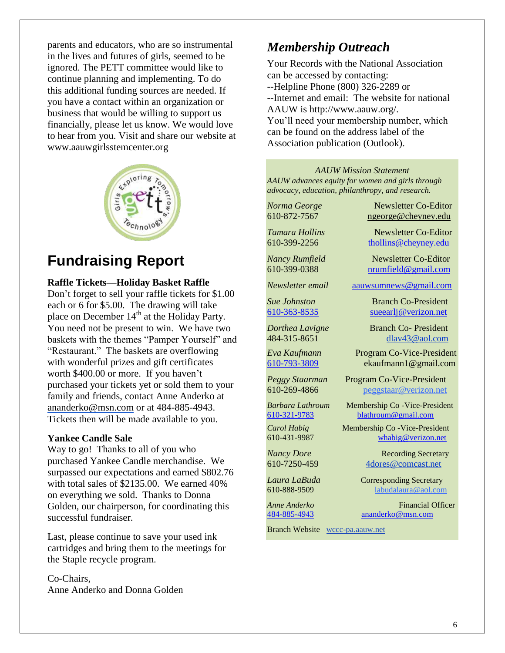parents and educators, who are so instrumental in the lives and futures of girls, seemed to be ignored. The PETT committee would like to continue planning and implementing. To do this additional funding sources are needed. If you have a contact within an organization or business that would be willing to support us financially, please let us know. We would love to hear from you. Visit and share our website at www.aauwgirlsstemcenter.org



## **Fundraising Report**

#### **Raffle Tickets—Holiday Basket Raffle**

Don't forget to sell your raffle tickets for \$1.00 each or 6 for \$5.00. The drawing will take place on December  $14<sup>th</sup>$  at the Holiday Party. You need not be present to win. We have two baskets with the themes "Pamper Yourself" and "Restaurant." The baskets are overflowing with wonderful prizes and gift certificates worth \$400.00 or more. If you haven't purchased your tickets yet or sold them to your family and friends, contact Anne Anderko at [ananderko@msn.com](mailto:ananderko@msn.com) or at 484-885-4943. Tickets then will be made available to you.

#### **Yankee Candle Sale**

Way to go! Thanks to all of you who purchased Yankee Candle merchandise. We surpassed our expectations and earned \$802.76 with total sales of \$2135.00. We earned 40% on everything we sold. Thanks to Donna Golden, our chairperson, for coordinating this successful fundraiser.

Last, please continue to save your used ink cartridges and bring them to the meetings for the Staple recycle program.

Co-Chairs, Anne Anderko and Donna Golden

### *Membership Outreach*

Your Records with the National Association can be accessed by contacting: --Helpline Phone (800) 326-2289 or --Internet and email: The website for national AAUW is http://www.aauw.org/. You'll need your membership number, which can be found on the address label of the Association publication (Outlook).

*AAUW Mission Statement AAUW advances equity for women and girls through advocacy, education, philanthropy, and research.*

*Norma George* Newsletter Co-Editor 610-872-7567 [ngeorge@cheyney.edu](mailto:ngeorge@cheyney.ecu)

*Tamara Hollins* Newsletter Co-Editor 610-399-2256 [thollins@cheyney.edu](mailto:thollins@cheyney.edu)

*Nancy Rumfield* **Newsletter Co-Editor** 610-399-0388 [nrumfield@gmail.com](mailto:nrumfield@gmail.com)

*Newsletter email* [aauwsumnews@gmail.com](mailto:aauwsumnews@gmail.com)

*Sue Johnston* Branch Co-President [610-363-8535](mailto:610-363-8535) [sueearlj@verizon.net](mailto:sueearlj@verizon.net)

*Dorthea Lavigne* Branch Co- President 484-315-8651 [dlav43@aol.com](mailto:franpierce@verizon.net)

*Eva Kaufmann* Program Co-Vice-President [610-793-3809](mailto:610-793-3809) ekaufmann1@gmail.com

*Peggy Staarman* Program Co-Vice-President 610-269-4866 [peggstaar@verizon.net](mailto:4dores@comcast.net)

*Barbara Lathroum* Membership Co -Vice-President [610-321-9783](mailto:610-321-9783) [blathroum@gmail.com](mailto:blathroum@gmail.com)

*Carol Habig* Membership Co - Vice-President 610-431-9987 [whabig@verizon.net](mailto:mjschultz46@hotmail.com)

*Nancy Dore* Recording Secretary 610-7250-459 4dores@comcast.net

*Laura LaBuda* **Corresponding Secretary** 610-888-9509 labudalaura@aol.com

*Anne Anderko* Financial Officer [484-885-4943](mailto:484-885-4943) [ananderko@msn.com](mailto:ananderko@msn.com)

Branch Website [wccc-pa.aauw.net](http://wccc-pa.aauw.net/)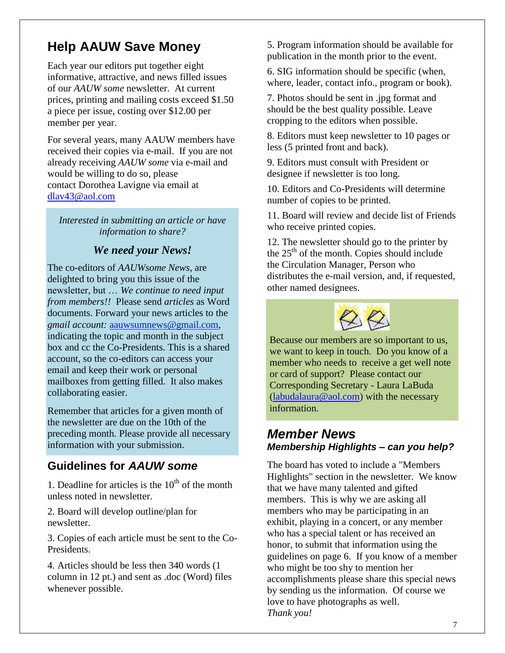## **Help AAUW Save Money**

Each year our editors put together eight informative, attractive, and news filled issues of our *AAUW some* newsletter. At current prices, printing and mailing costs exceed \$1.50 a piece per issue, costing over \$12.00 per member per year.

For several years, many AAUW members have received their copies via e-mail. If you are not already receiving *AAUW some* via e-mail and would be willing to do so, please contact Dorothea Lavigne via email at [dlav43@aol.com](mailto:diav43@aol.com)

*Interested in submitting an article or have information to share?*

#### *We need your News!*

The co-editors of *AAUWsome News*, are delighted to bring you this issue of the newsletter, but … *We continue to need input from members!!* Please send *articles* as Word documents. Forward your news articles to the *gmail account:* [aauwsumnews@gmail.com,](mailto:aauwsum@gmail.com) indicating the topic and month in the subject box and cc the Co-Presidents. This is a shared account, so the co-editors can access your email and keep their work or personal mailboxes from getting filled. It also makes collaborating easier.

Remember that articles for a given month of the newsletter are due on the 10th of the preceding month*.* Please provide all necessary information with your submission.

## **Guidelines for** *AAUW some*

1. Deadline for articles is the  $10<sup>th</sup>$  of the month unless noted in newsletter.

2. Board will develop outline/plan for newsletter.

3. Copies of each article must be sent to the Co-Presidents.

4. Articles should be less then 340 words (1 column in 12 pt.) and sent as .doc (Word) files whenever possible.

5. Program information should be available for publication in the month prior to the event.

6. SIG information should be specific (when, where, leader, contact info., program or book).

7. Photos should be sent in .jpg format and should be the best quality possible. Leave cropping to the editors when possible.

8. Editors must keep newsletter to 10 pages or less (5 printed front and back).

9. Editors must consult with President or designee if newsletter is too long.

10. Editors and Co-Presidents will determine number of copies to be printed.

11. Board will review and decide list of Friends who receive printed copies.

12. The newsletter should go to the printer by the  $25<sup>th</sup>$  of the month. Copies should include the Circulation Manager, Person who distributes the e-mail version, and, if requested, other named designees.



Because our members are so important to us, we want to keep in touch. Do you know of a member who needs to receive a get well note or card of support? Please contact our Corresponding Secretary - Laura LaBuda [\(labudalaura@aol.com\)](mailto:labudalaura@aol.com) with the necessary information.

### *Member News Membership Highlights – can you help?*

The board has voted to include a "Members Highlights" section in the newsletter. We know that we have many talented and gifted members. This is why we are asking all members who may be participating in an exhibit, playing in a concert, or any member who has a special talent or has received an honor, to submit that information using the guidelines on page 6. If you know of a member who might be too shy to mention her accomplishments please share this special news by sending us the information. Of course we love to have photographs as well. *Thank you!*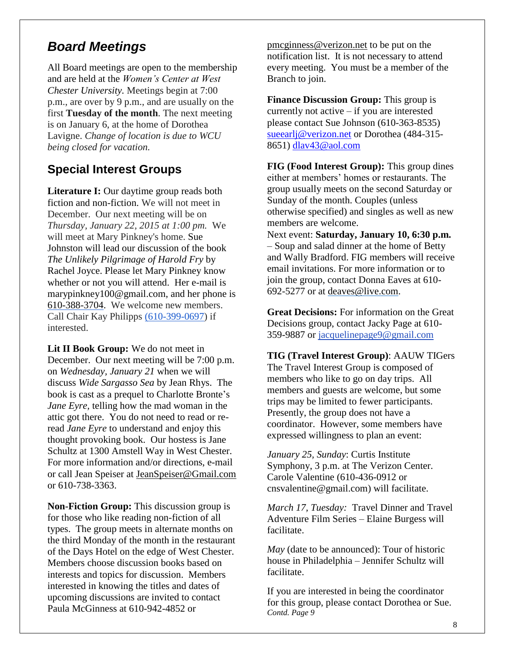## *Board Meetings*

All Board meetings are open to the membership and are held at the *Women's Center at West Chester University.* Meetings begin at 7:00 p.m., are over by 9 p.m., and are usually on the first **Tuesday of the month**. The next meeting is on January 6, at the home of Dorothea Lavigne. *Change of location is due to WCU being closed for vacation.*

## **Special Interest Groups**

**Literature I:** Our daytime group reads both fiction and non-fiction. We will not meet in December. Our next meeting will be on *Thursday, January 22, 2015 at 1:00 pm.* We will meet at Mary Pinkney's home. Sue Johnston will lead our discussion of the book *The Unlikely Pilgrimage of Harold Fry* by Rachel Joyce. Please let Mary Pinkney know whether or not you will attend. Her e-mail is [marypinkney100@gmail.com,](mailto:marypinkney100@gmail.com) and her phone is 610-388-3704. We welcome new members. Call Chair Kay Philipps (610-399-0697) if interested.

**Lit II Book Group:** We do not meet in December. Our next meeting will be 7:00 p.m. on *Wednesday, January 21* when we will discuss *Wide Sargasso Sea* by Jean Rhys. The book is cast as a prequel to Charlotte Bronte's *Jane Eyre,* telling how the mad woman in the attic got there. You do not need to read or reread *Jane Eyre* to understand and enjoy this thought provoking book. Our hostess is Jane Schultz at 1300 Amstell Way in West Chester. For more information and/or directions, e-mail or call Jean Speiser at [JeanSpeiser@Gmail.com](mailto:JeanSpeiser@Gmail.com) or 610-738-3363.

**Non-Fiction Group:** This discussion group is for those who like reading non-fiction of all types. The group meets in alternate months on the third Monday of the month in the restaurant of the Days Hotel on the edge of West Chester. Members choose discussion books based on interests and topics for discussion. Members interested in knowing the titles and dates of upcoming discussions are invited to contact Paula McGinness at 610-942-4852 or

[pmcginness@verizon.net](mailto:pmcginness@verizon.net) to be put on the notification list. It is not necessary to attend every meeting. You must be a member of the Branch to join.

**Finance Discussion Group:** This group is currently not active – if you are interested please contact Sue Johnson (610-363-8535) [sueearlj@verizon.net](mailto:sueearlj@verizon.net) or Dorothea (484-315-8651) [dlav43@aol.com](mailto:dlav43@aol.com)

**FIG (Food Interest Group):** This group dines either at members' homes or restaurants. The group usually meets on the second Saturday or Sunday of the month. Couples (unless otherwise specified) and singles as well as new members are welcome.

Next event: **Saturday, January 10, 6:30 p.m.** – Soup and salad dinner at the home of Betty and Wally Bradford. FIG members will receive email invitations. For more information or to join the group, contact Donna Eaves at 610- 692-5277 or at [deaves@live.com.](mailto:deaves@live.com)

**Great Decisions:** For information on the Great Decisions group, contact Jacky Page at 610- 359-9887 or [jacquelinepage9@gmail.com](mailto:jacquelinepage9@gmail.com)

**TIG (Travel Interest Group)**: AAUW TIGers The Travel Interest Group is composed of members who like to go on day trips. All members and guests are welcome, but some trips may be limited to fewer participants. Presently, the group does not have a coordinator. However, some members have expressed willingness to plan an event:

*January 25, Sunday*: Curtis Institute Symphony, 3 p.m. at The Verizon Center. Carole Valentine (610-436-0912 or [cnsvalentine@gmail.com\)](mailto:cnsvalentine@gmail.com) will facilitate.

*March 17, Tuesday:* Travel Dinner and Travel Adventure Film Series – Elaine Burgess will facilitate.

*May* (date to be announced): Tour of historic house in Philadelphia – Jennifer Schultz will facilitate.

If you are interested in being the coordinator for this group, please contact Dorothea or Sue. *Contd. Page 9*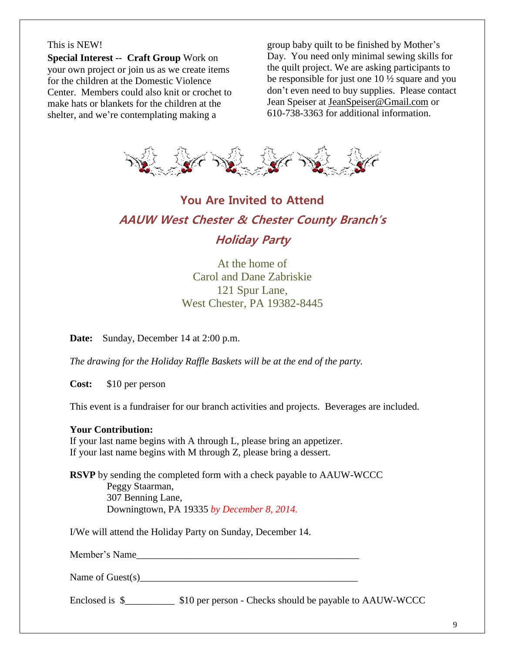#### This is NEW!

**Special Interest -- Craft Group** Work on your own project or join us as we create items for the children at the Domestic Violence Center. Members could also knit or crochet to make hats or blankets for the children at the shelter, and we're contemplating making a

group baby quilt to be finished by Mother's Day. You need only minimal sewing skills for the quilt project. We are asking participants to be responsible for just one 10 ½ square and you don't even need to buy supplies. Please contact Jean Speiser at [JeanSpeiser@Gmail.com](mailto:JeanSpeiser@Gmail.com) or 610-738-3363 for additional information.



## **You Are Invited to Attend AAUW West Chester & Chester County Branch's Holiday Party**

At the home of Carol and Dane Zabriskie 121 Spur Lane, West Chester, PA 19382-8445

**Date:** Sunday, December 14 at 2:00 p.m.

*The drawing for the Holiday Raffle Baskets will be at the end of the party.*

**Cost:** \$10 per person

This event is a fundraiser for our branch activities and projects. Beverages are included.

#### **Your Contribution:**

If your last name begins with A through L, please bring an appetizer. If your last name begins with M through Z, please bring a dessert.

**RSVP** by sending the completed form with a check payable to AAUW-WCCC Peggy Staarman, 307 Benning Lane, Downingtown, PA 19335 *by December 8, 2014.*

I/We will attend the Holiday Party on Sunday, December 14.

Member's Name

Name of Guest $(s)$ 

Enclosed is \$  $$10$  per person - Checks should be payable to AAUW-WCCC